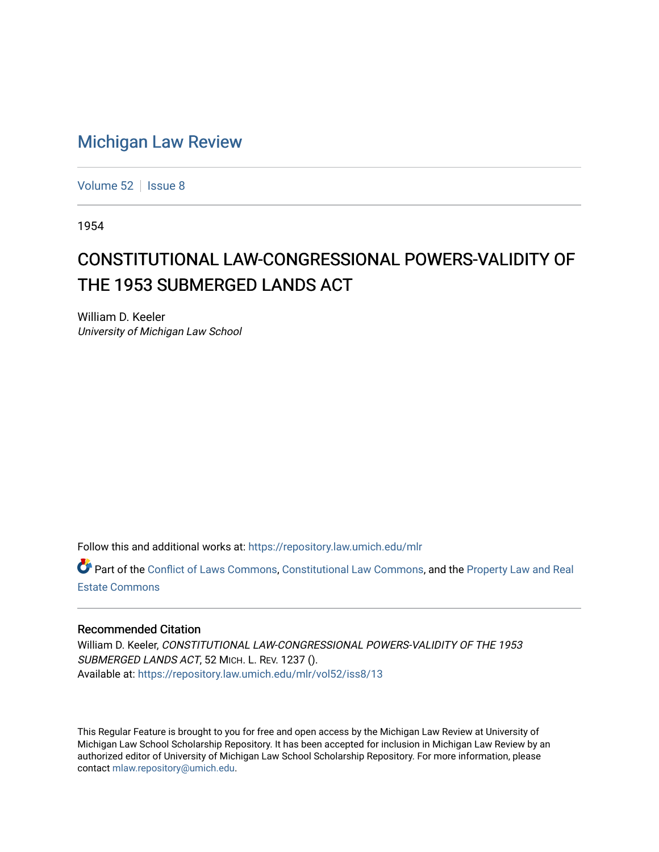## [Michigan Law Review](https://repository.law.umich.edu/mlr)

[Volume 52](https://repository.law.umich.edu/mlr/vol52) | [Issue 8](https://repository.law.umich.edu/mlr/vol52/iss8)

1954

## CONSTITUTIONAL LAW-CONGRESSIONAL POWERS-VALIDITY OF THE 1953 SUBMERGED LANDS ACT

William D. Keeler University of Michigan Law School

Follow this and additional works at: [https://repository.law.umich.edu/mlr](https://repository.law.umich.edu/mlr?utm_source=repository.law.umich.edu%2Fmlr%2Fvol52%2Fiss8%2F13&utm_medium=PDF&utm_campaign=PDFCoverPages) 

Part of the [Conflict of Laws Commons,](http://network.bepress.com/hgg/discipline/588?utm_source=repository.law.umich.edu%2Fmlr%2Fvol52%2Fiss8%2F13&utm_medium=PDF&utm_campaign=PDFCoverPages) [Constitutional Law Commons,](http://network.bepress.com/hgg/discipline/589?utm_source=repository.law.umich.edu%2Fmlr%2Fvol52%2Fiss8%2F13&utm_medium=PDF&utm_campaign=PDFCoverPages) and the [Property Law and Real](http://network.bepress.com/hgg/discipline/897?utm_source=repository.law.umich.edu%2Fmlr%2Fvol52%2Fiss8%2F13&utm_medium=PDF&utm_campaign=PDFCoverPages) [Estate Commons](http://network.bepress.com/hgg/discipline/897?utm_source=repository.law.umich.edu%2Fmlr%2Fvol52%2Fiss8%2F13&utm_medium=PDF&utm_campaign=PDFCoverPages) 

## Recommended Citation

William D. Keeler, CONSTITUTIONAL LAW-CONGRESSIONAL POWERS-VALIDITY OF THE 1953 SUBMERGED LANDS ACT, 52 MICH. L. REV. 1237 (). Available at: [https://repository.law.umich.edu/mlr/vol52/iss8/13](https://repository.law.umich.edu/mlr/vol52/iss8/13?utm_source=repository.law.umich.edu%2Fmlr%2Fvol52%2Fiss8%2F13&utm_medium=PDF&utm_campaign=PDFCoverPages) 

This Regular Feature is brought to you for free and open access by the Michigan Law Review at University of Michigan Law School Scholarship Repository. It has been accepted for inclusion in Michigan Law Review by an authorized editor of University of Michigan Law School Scholarship Repository. For more information, please contact [mlaw.repository@umich.edu](mailto:mlaw.repository@umich.edu).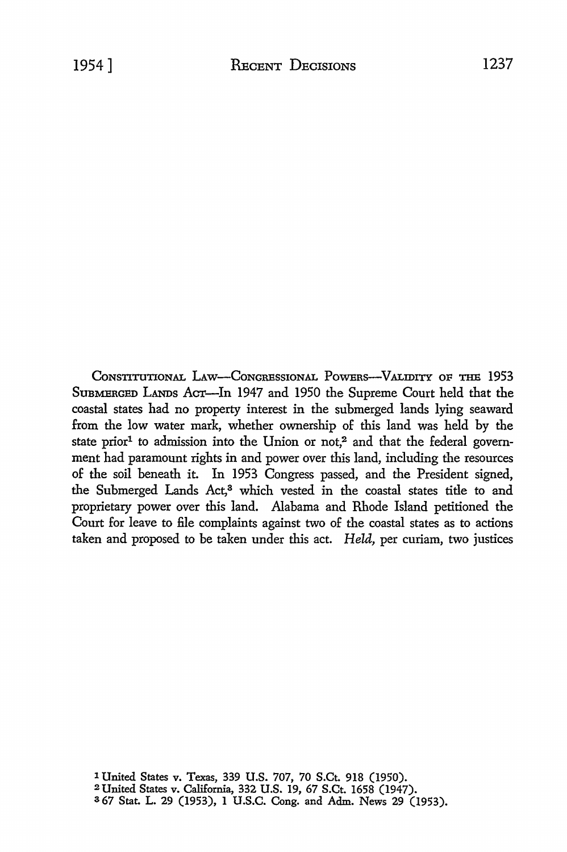CONSTITUTIONAL LAW-CONGRESSIONAL POWERS-VALIDITY OF THE 1953 SuBMERGED LANDs ACT-In 1947 and 1950 the Supreme Court held that the coastal states had no property interest in the submerged lands lying seaward from the low water mark, whether ownership of this land was held by the state prior<sup>1</sup> to admission into the Union or not,<sup>2</sup> and that the federal government had paramount rights in and power over this land, including the resources of the soil beneath it. In 1953 Congress passed, and the President signed, the Submerged Lands Act,<sup>3</sup> which vested in the coastal states title to and proprietary power over this land. Alabama and Rhode Island petitioned the Court for leave to file complaints against two of the coastal states as to actions taken and proposed to be taken under this act. *Held,* per curiam, two justices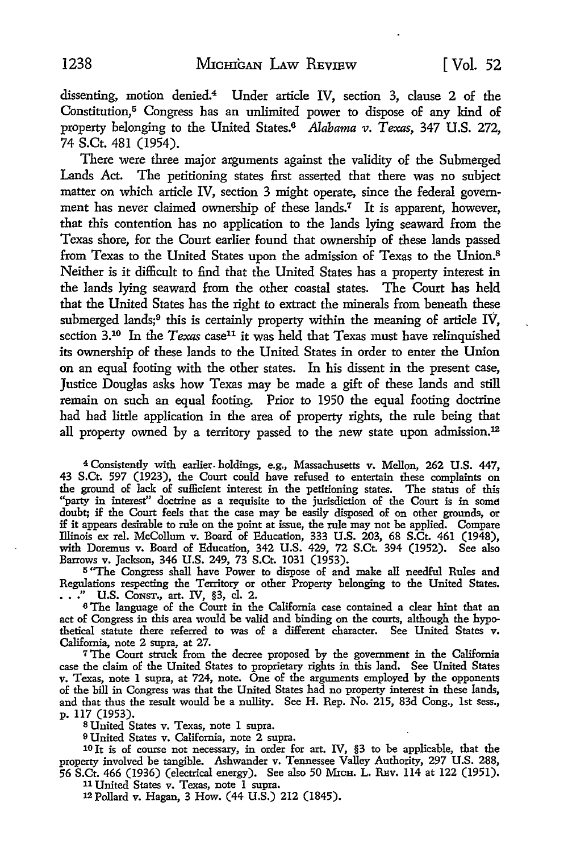dissenting, motion denied.<sup>4</sup> Under article IV, section 3, clause 2 of the Constitution,<sup>5</sup> Congress has an unlimited power to dispose of any kind of property belonging to the United States.6 *Alabama v. Texas,* 347 U.S. 272, 74 S.Ct. 481 (1954).

There were three major arguments against the validity of the Submerged Lands Act. The petitioning states first asserted that there was no subject matter on which article IV, section 3 might operate, since the federal government has never claimed ownership of these lands.7 It is apparent, however, that this contention has no application to the lands lying seaward from the Texas shore, for the Court earlier found that ownership of these lands passed from Texas to the United States upon the admission of Texas to the Union.<sup>8</sup> Neither is it difficult to find that the United States has a property interest in the lands lying seaward from the other coastal states. The Court has held that the United States has the right to extract the minerals from beneath these submerged lands;<sup>9</sup> this is certainly property within the meaning of article IV, section 3.<sup>10</sup> In the *Texas* case<sup>11</sup> it was held that *Texas* must have relinquished its ownership of these lands to the United States in order to enter the Union on an equal footing with the other states. In his dissent in the present case, Justice Douglas asks how Texas may be made a gift of these lands and still remain on such an equal footing. Prior to 1950 the equal footing doctrine had had little application in the area of property rights, the rule being that all property owned by a territory passed to the new state upon admission.<sup>12</sup>

<sup>4</sup>Consistently with earlier. holdings, e.g., Massachusetts v. Mellon, 262 U.S. 447, 43 S.Ct. 597 (1923), the Court could have refused to entertain these complaints on the ground of lack of sufficient interest in the petitioning states. The status of this "party in interest" doctrine as a requisite to the jurisdiction of the Court is in some doubt; if the Court feels that the case may be easily disposed of on other grounds, or if it appears desirable *to* rule on the point at issue, the rule may not be applied. Compare Illinois ex rel. McCollum v. Board of Education, 333 U.S. 203, 68 S.Ct. 461 (1948), with Doremus v. Board of Education, 342 U.S. 429, 72 S.Ct. 394 (1952). See also Barrows v. Jackson, 346 U.S. 249, 73 S.Ct. 1031 (1953).

<sup>5</sup>"The Congress shall have Power to dispose of and make all needful Rules and Regulations respecting the Territory or other Property belonging to the United States • • • • " U.S. CONST., art. IV, §3, cl. 2.

<sup>6</sup>The language of the Court in the California case contained a clear hint that an act of Congress in this area would be valid and binding on the courts, although the hypothetical statute there referred to was of a different character. See United States v. California, note 2 supra, at 27.

<sup>7</sup>The Court struck from the decree proposed by the government in the California case the claim of the United States to proprietary rights in this land. See United States v. Texas, note I supra, at 724, note. One of the arguments employed by the opponents of the bill in Congress was that the United States had no property interest in these lands, and that thus the result would be a nullity. See **H.** Rep. No. 215, 83d Cong., 1st sess., p. 117 (1953).

8 United States v. Texas, note I supra.

9 United States v. California, note 2 supra.

10 It is of course not necessary, in order for art. IV, §3 to be applicable, that the property involved be tangible. Ashwander v. Tennessee Valley Authority, 297 U.S. 288, 56 S.Ct. 466 (1936) (electrical energy). See also 50 Mica. L. REv. 114 at 122 (1951).

11 United States v. Texas, note I supra.

12 Pollard v. Hagan, 3 How. ( 44 U.S.) 212 (1845).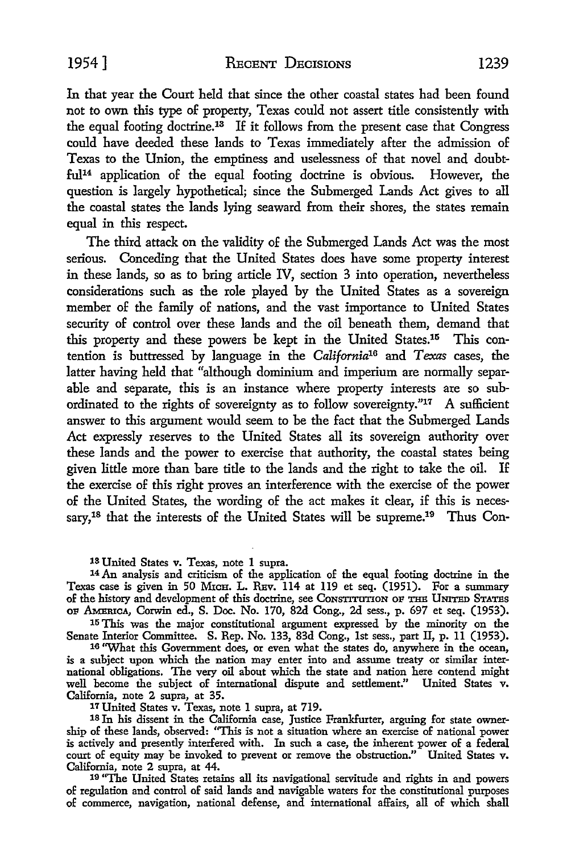1954] RECENT DECISIONS 1239

In that year the Court held that since the other coastal states had been found not to own this type of property, Texas could not assert title consistently with the equal footing doctrine.13 If it follows from the present case that Congress could have deeded these lands to Texas immediately after the admission of Texas to the Union, the emptiness and uselessness of that novel and doubtful14 application of the equal footing doctrine is obvious. However, the question is largely hypothetical; since the Submerged Lands Act gives to all the coastal states the lands lying seaward from their shores, the states remain equal in this respect.

The third attack on the validity of the Submerged Lands Act was the most serious. Conceding that the United States does have some property interest in these lands, so as to bring article IV, section 3 into operation, nevertheless considerations such as the role played by the United States as a sovereign member of the family of nations, and the vast importance to United States security of control over these lands and the oil beneath them, demand that this property and these powers be kept in the United States.15 This contention is buttressed by language in the *California16* and *Texas* cases, the latter having held that "although dominium and imperium are normally separable and separate, this is an instance where property interests are so subordinated to the rights of sovereignty as to follow sovereignty."17 A sufficient answer to this argument would seem to be the fact that the Submerged Lands Act expressly reserves to the United States all its sovereign authority over these lands and the power to exercise that authority, the coastal states being given little more than bare title to the lands and the right to take the oil. If the exercise of this right proves an interference with the exercise of the power of the United States, the wording of the act makes it clear, if this is necessary,<sup>18</sup> that the interests of the United States will be supreme.<sup>19</sup> Thus Con-

13 United States v. Texas, note I supra.

14 An analysis and criticism of the application of the equal footing doctrine in the Texas case is given in 50 MICH. L. REV. 114 at 119 et seq. (1951). For a summary of the history and development of this doctrine, see Construction OF THE UNITED STATES OF AMErocA, Corwin ed., S. Doc. No. 170, 82d Cong., 2d sess., p. 697 et seq. (1953).

15 This was the major constitutional argument expressed by the minority on the Senate Interior Committee. S. Rep. No. 133, 83d Cong., 1st sess., part II, p. 11 (1953).

16 "What this Government does, or even what the states do, anywhere in the ocean, is a subject upon which the nation may enter into and assume treaty or similar international obligations. The very oil about which the state and nation here contend might well become the subject of international dispute and settlement." United States v. California, note 2 supra, at 35.

17 United States v. Texas, note I supra, at 719.

18 Jn his dissent in the California case, Justice Frankfurter, arguing for state ownership of these lands, observed: ''This is not a situation where an exercise of national power is actively and presently interfered with. In such a case, the inherent power of a federal court of equity may be invoked to prevent or remove the obstruction." United States v. California, note 2 supra, at 44.

19 "The United States retains all its navigational servitude and rights in and powers of regulation and control of said lands and navigable waters for the constitutional purposes of commerce, navigation, national defense, and international affairs, all of which shall